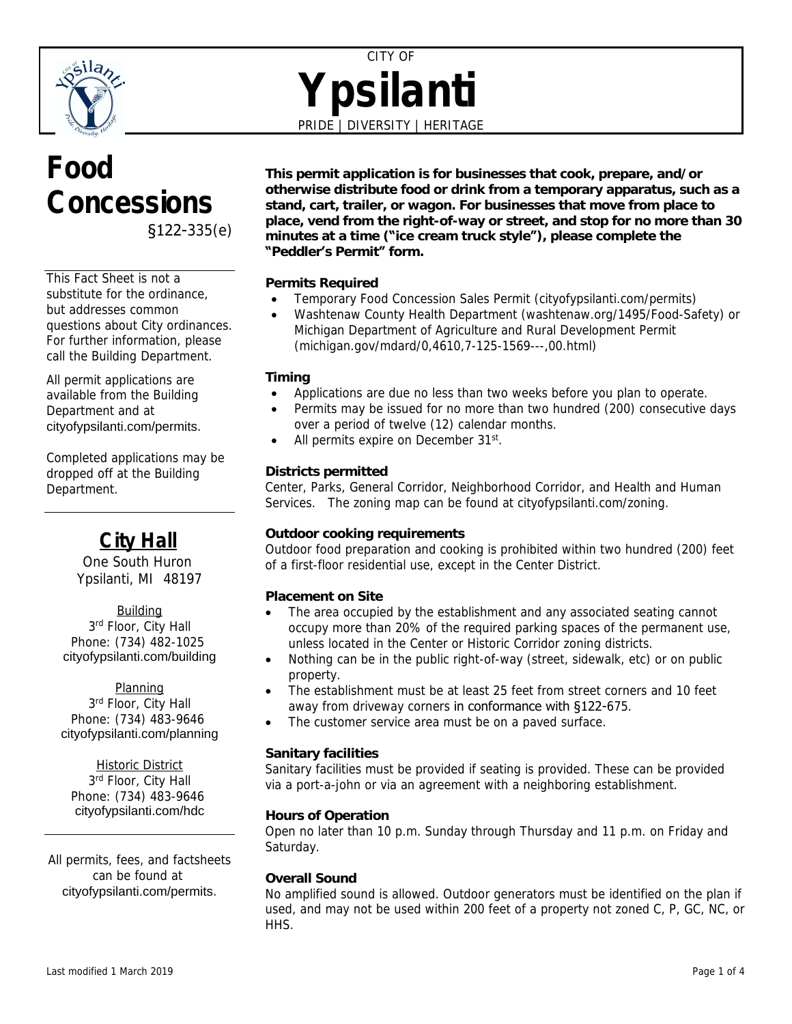

# CITY OF **Ypsilanti** PRIDE | DIVERSITY | HERITAGE

# **Food Concessions** §122-335(e)

This Fact Sheet is not a substitute for the ordinance, but addresses common questions about City ordinances. For further information, please call the Building Department.

All permit applications are available from the Building Department and at [cityofypsilanti.com/permits](http://www.cityofypsilanti.com/permits).

Completed applications may be dropped off at the Building Department.

# **City Hall**

One South Huron Ypsilanti, MI 48197

**Building** 3<sup>rd</sup> Floor, City Hall Phone: (734) 482-1025 [cityofypsilanti.com/building](http://www.cityofypsilanti.com/building)

Planning 3<sup>rd</sup> Floor, City Hall Phone: (734) 483-9646 [cityofypsilanti.com/planning](http://www.cityofypsilanti.com/planning)

**Historic District** 3<sup>rd</sup> Floor, City Hall Phone: (734) 483-9646 [cityofypsilanti.com/hdc](http://www.cityofypsilanti.com/hdc)

All permits, fees, and factsheets can be found at [cityofypsilanti.com/permits](http://www.cityofypsilanti.com/permits).

**This permit application is for businesses that cook, prepare, and/or otherwise distribute food or drink from a temporary apparatus, such as a stand, cart, trailer, or wagon. For businesses that move from place to place, vend from the right-of-way or street, and stop for no more than 30 minutes at a time ("ice cream truck style"), please complete the "Peddler's Permit" form.**

# **Permits Required**

- Temporary Food Concession Sales Permit (cityofypsilanti.com/permits)
- Washtenaw County Health Department (washtenaw.org/1495/Food-Safety) *or* Michigan Department of Agriculture and Rural Development Permit (michigan.gov/mdard/0,4610,7-125-1569---,00.html)

## **Timing**

- Applications are due no less than two weeks before you plan to operate.
- Permits may be issued for no more than two hundred (200) consecutive days over a period of twelve (12) calendar months.
- All permits expire on December 31<sup>st</sup>.

## **Districts permitted**

Center, Parks, General Corridor, Neighborhood Corridor, and Health and Human Services. The zoning map can be found at cityofypsilanti.com/zoning.

## **Outdoor cooking requirements**

Outdoor food preparation and cooking is prohibited within two hundred (200) feet of a first-floor residential use, except in the Center District.

## **Placement on Site**

- The area occupied by the establishment and any associated seating cannot occupy more than 20% of the required parking spaces of the permanent use, unless located in the Center or Historic Corridor zoning districts.
- Nothing can be in the public right-of-way (street, sidewalk, etc) or on public property.
- The establishment must be at least 25 feet from street corners and 10 feet away from driveway corners in conformance with §122-675.
- The customer service area must be on a paved surface.

## **Sanitary facilities**

Sanitary facilities must be provided if seating is provided. These can be provided via a port-a-john or via an agreement with a neighboring establishment.

## **Hours of Operation**

Open no later than 10 p.m. Sunday through Thursday and 11 p.m. on Friday and Saturday.

## **Overall Sound**

No amplified sound is allowed. Outdoor generators must be identified on the plan if used, and may not be used within 200 feet of a property not zoned C, P, GC, NC, or HHS.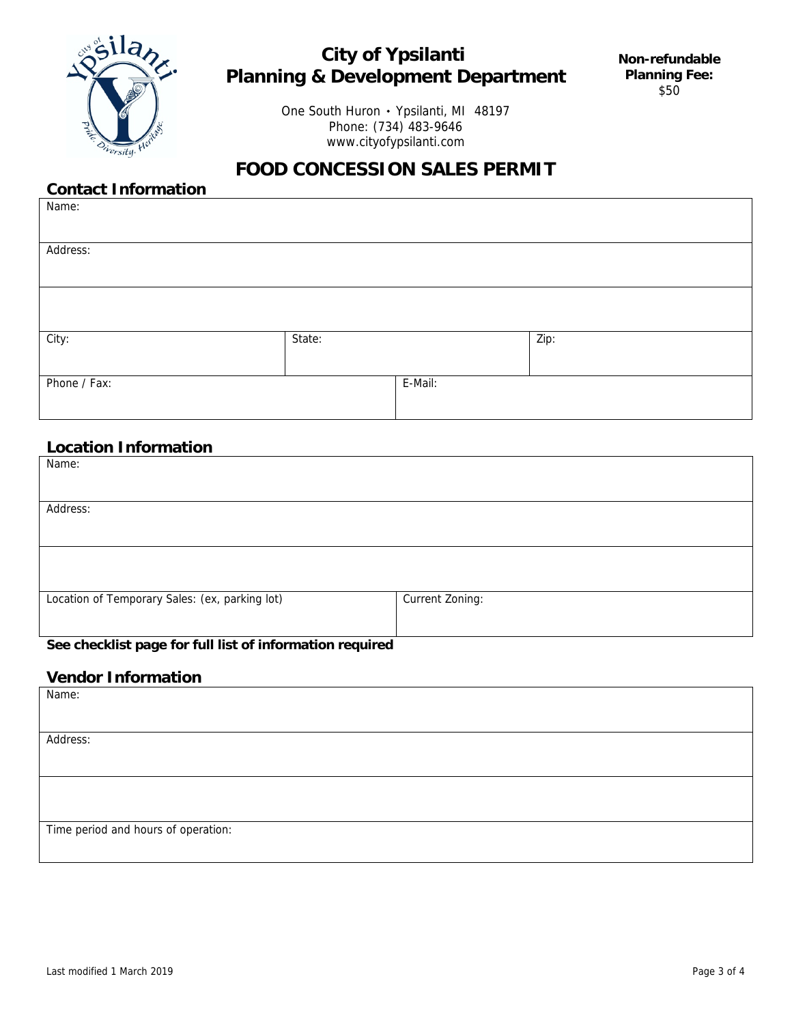

# **City of Ypsilanti Planning & Development Department**

One South Huron • Ypsilanti, MI 48197 Phone: (734) 483-9646 www.cityofypsilanti.com

# **FOOD CONCESSION SALES PERMIT**

# **Contact Information**

| Name:        |        |         |      |
|--------------|--------|---------|------|
|              |        |         |      |
| Address:     |        |         |      |
|              |        |         |      |
|              |        |         |      |
|              |        |         |      |
| City:        | State: |         | Zip: |
|              |        |         |      |
| Phone / Fax: |        | E-Mail: |      |
|              |        |         |      |

# **Location Information**

| Name:                                          |                 |
|------------------------------------------------|-----------------|
| Address:                                       |                 |
|                                                |                 |
| Location of Temporary Sales: (ex, parking lot) | Current Zoning: |

#### **See checklist page for full list of information required**

# **Vendor Information**

| Name:                               |
|-------------------------------------|
|                                     |
|                                     |
| Address:                            |
|                                     |
|                                     |
|                                     |
|                                     |
|                                     |
| Time period and hours of operation: |
|                                     |
|                                     |